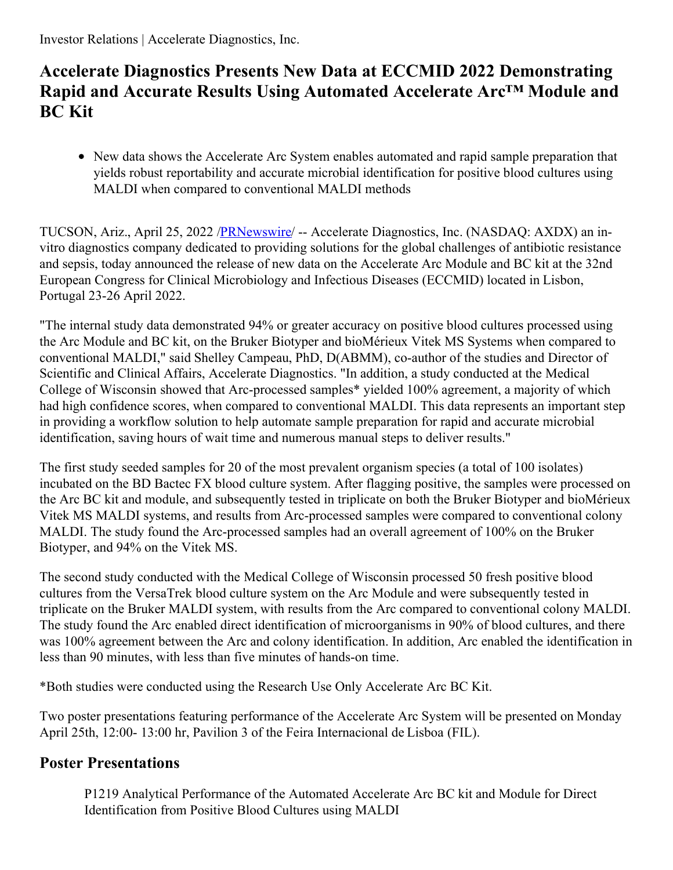## **Accelerate Diagnostics Presents New Data at ECCMID 2022 Demonstrating Rapid and Accurate Results Using Automated Accelerate Arc™ Module and BC Kit**

New data shows the Accelerate Arc System enables automated and rapid sample preparation that yields robust reportability and accurate microbial identification for positive blood cultures using MALDI when compared to conventional MALDI methods

TUCSON, Ariz., April 25, 2022 [/PRNewswire](http://www.prnewswire.com/)/ -- Accelerate Diagnostics, Inc. (NASDAQ: AXDX) an invitro diagnostics company dedicated to providing solutions for the global challenges of antibiotic resistance and sepsis, today announced the release of new data on the Accelerate Arc Module and BC kit at the 32nd European Congress for Clinical Microbiology and Infectious Diseases (ECCMID) located in Lisbon, Portugal 23-26 April 2022.

"The internal study data demonstrated 94% or greater accuracy on positive blood cultures processed using the Arc Module and BC kit, on the Bruker Biotyper and bioMérieux Vitek MS Systems when compared to conventional MALDI," said Shelley Campeau, PhD, D(ABMM), co-author of the studies and Director of Scientific and Clinical Affairs, Accelerate Diagnostics. "In addition, a study conducted at the Medical College of Wisconsin showed that Arc-processed samples\* yielded 100% agreement, a majority of which had high confidence scores, when compared to conventional MALDI. This data represents an important step in providing a workflow solution to help automate sample preparation for rapid and accurate microbial identification, saving hours of wait time and numerous manual steps to deliver results."

The first study seeded samples for 20 of the most prevalent organism species (a total of 100 isolates) incubated on the BD Bactec FX blood culture system. After flagging positive, the samples were processed on the Arc BC kit and module, and subsequently tested in triplicate on both the Bruker Biotyper and bioMérieux Vitek MS MALDI systems, and results from Arc-processed samples were compared to conventional colony MALDI. The study found the Arc-processed samples had an overall agreement of 100% on the Bruker Biotyper, and 94% on the Vitek MS.

The second study conducted with the Medical College of Wisconsin processed 50 fresh positive blood cultures from the VersaTrek blood culture system on the Arc Module and were subsequently tested in triplicate on the Bruker MALDI system, with results from the Arc compared to conventional colony MALDI. The study found the Arc enabled direct identification of microorganisms in 90% of blood cultures, and there was 100% agreement between the Arc and colony identification. In addition, Arc enabled the identification in less than 90 minutes, with less than five minutes of hands-on time.

\*Both studies were conducted using the Research Use Only Accelerate Arc BC Kit.

Two poster presentations featuring performance of the Accelerate Arc System will be presented on Monday April 25th, 12:00- 13:00 hr, Pavilion 3 of the Feira Internacional de Lisboa (FIL).

## **Poster Presentations**

P1219 Analytical Performance of the Automated Accelerate Arc BC kit and Module for Direct Identification from Positive Blood Cultures using MALDI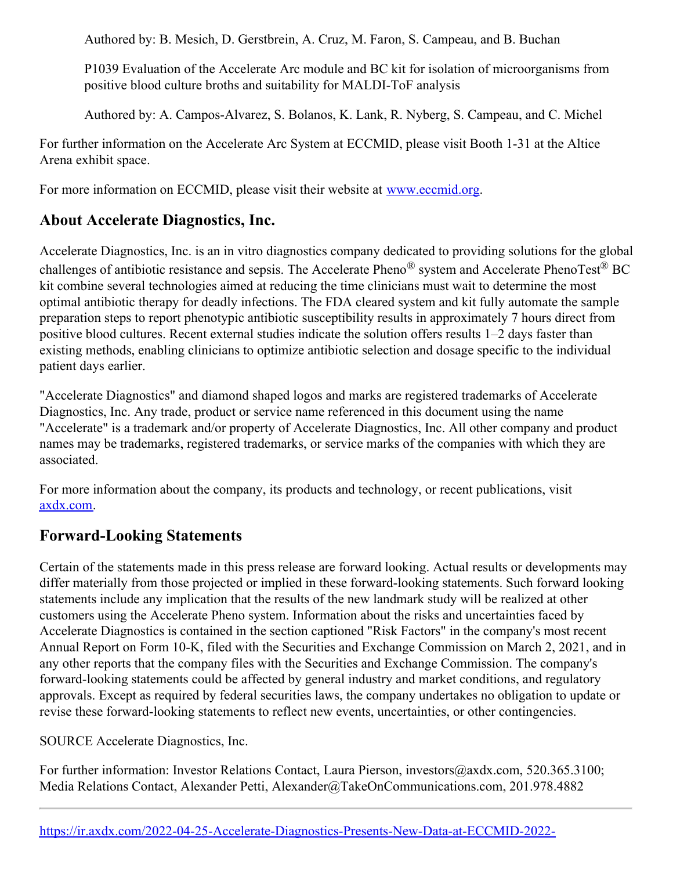Authored by: B. Mesich, D. Gerstbrein, A. Cruz, M. Faron, S. Campeau, and B. Buchan

P1039 Evaluation of the Accelerate Arc module and BC kit for isolation of microorganisms from positive blood culture broths and suitability for MALDI-ToF analysis

Authored by: A. Campos-Alvarez, S. Bolanos, K. Lank, R. Nyberg, S. Campeau, and C. Michel

For further information on the Accelerate Arc System at ECCMID, please visit Booth 1-31 at the Altice Arena exhibit space.

For more information on ECCMID, please visit their website at [www.eccmid.org](https://c212.net/c/link/?t=0&l=en&o=3512612-1&h=2195914710&u=http%3A%2F%2Fwww.eccmid.org%2F&a=www.eccmid.org).

## **About Accelerate Diagnostics, Inc.**

Accelerate Diagnostics, Inc. is an in vitro diagnostics company dedicated to providing solutions for the global challenges of antibiotic resistance and sepsis. The Accelerate Pheno® system and Accelerate PhenoTest® BC kit combine several technologies aimed at reducing the time clinicians must wait to determine the most optimal antibiotic therapy for deadly infections. The FDA cleared system and kit fully automate the sample preparation steps to report phenotypic antibiotic susceptibility results in approximately 7 hours direct from positive blood cultures. Recent external studies indicate the solution offers results 1–2 days faster than existing methods, enabling clinicians to optimize antibiotic selection and dosage specific to the individual patient days earlier.

"Accelerate Diagnostics" and diamond shaped logos and marks are registered trademarks of Accelerate Diagnostics, Inc. Any trade, product or service name referenced in this document using the name "Accelerate" is a trademark and/or property of Accelerate Diagnostics, Inc. All other company and product names may be trademarks, registered trademarks, or service marks of the companies with which they are associated.

For more information about the company, its products and technology, or recent publications, visit [axdx.com](https://c212.net/c/link/?t=0&l=en&o=3512612-1&h=2928441487&u=https%3A%2F%2Fc212.net%2Fc%2Flink%2F%3Ft%3D0%26l%3Den%26o%3D3213887-1%26h%3D4058647286%26u%3Dhttp%253A%252F%252Fwww.acceleratediagnostics.com%252F%253Futm_source%253Dprnewswire%2526utm_medium%253Dpr%2526utm_campaign%253Dpronghorn%2526utm_content%253D20210630%26a%3Daxdx.com&a=axdx.com).

## **Forward-Looking Statements**

Certain of the statements made in this press release are forward looking. Actual results or developments may differ materially from those projected or implied in these forward-looking statements. Such forward looking statements include any implication that the results of the new landmark study will be realized at other customers using the Accelerate Pheno system. Information about the risks and uncertainties faced by Accelerate Diagnostics is contained in the section captioned "Risk Factors" in the company's most recent Annual Report on Form 10-K, filed with the Securities and Exchange Commission on March 2, 2021, and in any other reports that the company files with the Securities and Exchange Commission. The company's forward-looking statements could be affected by general industry and market conditions, and regulatory approvals. Except as required by federal securities laws, the company undertakes no obligation to update or revise these forward-looking statements to reflect new events, uncertainties, or other contingencies.

SOURCE Accelerate Diagnostics, Inc.

For further information: Investor Relations Contact, Laura Pierson, investors@axdx.com, 520.365.3100; Media Relations Contact, Alexander Petti, Alexander@TakeOnCommunications.com, 201.978.4882